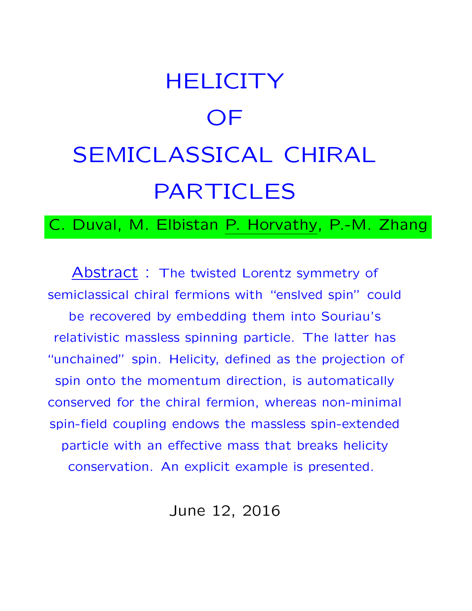# **HELICITY** OF SEMICLASSICAL CHIRAL PARTICLES

C. Duval, M. Elbistan P. Horvathy, P.-M. Zhang

Abstract: The twisted Lorentz symmetry of semiclassical chiral fermions with "enslved spin" could be recovered by embedding them into Souriau's relativistic massless spinning particle. The latter has "unchained" spin. Helicity, defined as the projection of spin onto the momentum direction, is automatically conserved for the chiral fermion, whereas non-minimal spin-field coupling endows the massless spin-extended particle with an effective mass that breaks helicity conservation. An explicit example is presented.

June 12, 2016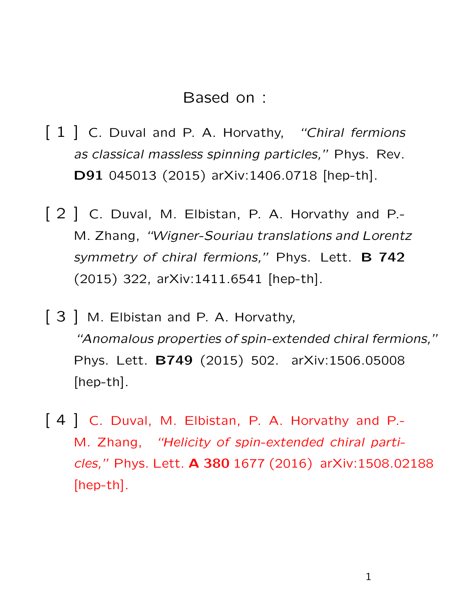#### Based on :

- [ 1 ] C. Duval and P. A. Horvathy, "Chiral fermions as classical massless spinning particles," Phys. Rev. D91 045013 (2015) arXiv:1406.0718 [hep-th].
- [ 2 ] C. Duval, M. Elbistan, P. A. Horvathy and P.-M. Zhang, "Wigner-Souriau translations and Lorentz symmetry of chiral fermions," Phys. Lett. B 742 (2015) 322, arXiv:1411.6541 [hep-th].
- [ 3 ] M. Elbistan and P. A. Horvathy, "Anomalous properties of spin-extended chiral fermions," Phys. Lett. B749 (2015) 502. arXiv:1506.05008 [hep-th].
- [ 4 ] C. Duval, M. Elbistan, P. A. Horvathy and P.- M. Zhang, "Helicity of spin-extended chiral particles," Phys. Lett. A 380 1677 (2016) arXiv:1508.02188 [hep-th].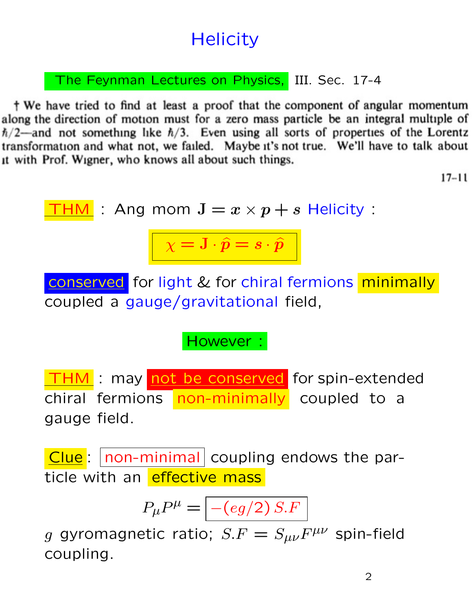# **Helicity**

The Feynman Lectures on Physics, III. Sec. 17-4

† We have tried to find at least a proof that the component of angular momentum along the direction of motion must for a zero mass particle be an integral multiple of  $\hbar/2$ —and not something like  $\hbar/3$ . Even using all sorts of properties of the Lorentz transformation and what not, we failed. Maybe it's not true. We'll have to talk about it with Prof. Wigner, who knows all about such things.

 $17 - 11$ 

| THM                                                                                      | : Ang mom J = $x \times p + s$ Helicity :                                                        |
|------------------------------------------------------------------------------------------|--------------------------------------------------------------------------------------------------|
| $\chi = J \cdot \hat{p} = s \cdot \hat{p}$                                               |                                                                                                  |
| conserved for light & for chiral fermions minimally coupled a gauge/gravitational field, |                                                                                                  |
| However :                                                                                |                                                                                                  |
| THM                                                                                      | : may not be conserved for spin-extended chiral fermions non-minimally coupled to a gauge field. |
| Clue                                                                                     | non-minimal coupling endows the par-                                                             |

ticle with an effective mass

 $P_\mu P^\mu = \boxed{-(eg/2)\, S.F}$ 

g gyromagnetic ratio;  $S.F = S_{\mu\nu}F^{\mu\nu}$  spin-field coupling.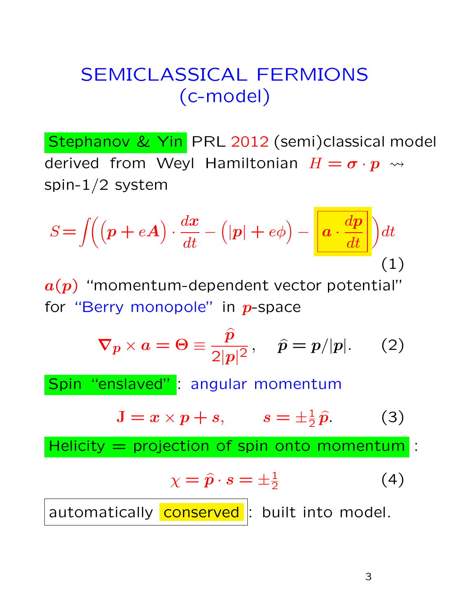### SEMICLASSICAL FERMIONS (c-model)

Stephanov & Yin PRL 2012 (semi)classical model derived from Weyl Hamiltonian  $H = \sigma \cdot p \rightsquigarrow$ spin-1/2 system

$$
S = \iint \left( \left( \mathbf{p} + e\mathbf{A} \right) \cdot \frac{d\mathbf{x}}{dt} - \left( |\mathbf{p}| + e\phi \right) - \underbrace{\left| \mathbf{a} \cdot \frac{d\mathbf{p}}{dt} \right|} \right) dt
$$
\n(1)

 $a(p)$  "momentum-dependent vector potential" for "Berry monopole" in  $p$ -space

$$
\nabla p \times a = \Theta \equiv \frac{\hat{p}}{2|p|^2}, \quad \hat{p} = p/|p|. \qquad (2)
$$

Spin "enslaved" : angular momentum

$$
\mathbf{J} = x \times p + s, \qquad s = \pm \frac{1}{2} \hat{p}. \tag{3}
$$

Helicity  $=$  projection of spin onto momentum :

$$
\chi = \hat{p} \cdot s = \pm \frac{1}{2} \tag{4}
$$

automatically conserved : built into model.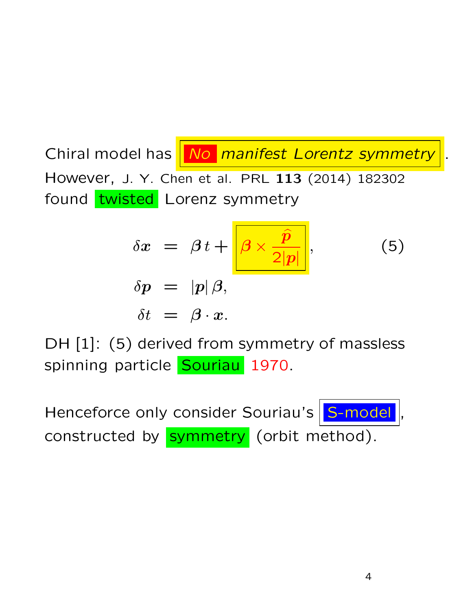Chiral model has No manifest Lorentz symmetry However, J. Y. Chen et al. PRL 113 (2014) 182302 found twisted Lorenz symmetry

$$
\delta x = \beta t + \frac{\hat{\beta} \times \hat{\hat{p}}}{2|\hat{p}|},
$$
  
\n
$$
\delta p = |p|\beta,
$$
  
\n
$$
\delta t = \beta \cdot x.
$$
\n(5)

DH [1]: (5) derived from symmetry of massless spinning particle Souriau 1970.

Henceforce only consider Souriau's S-model constructed by **symmetry** (orbit method).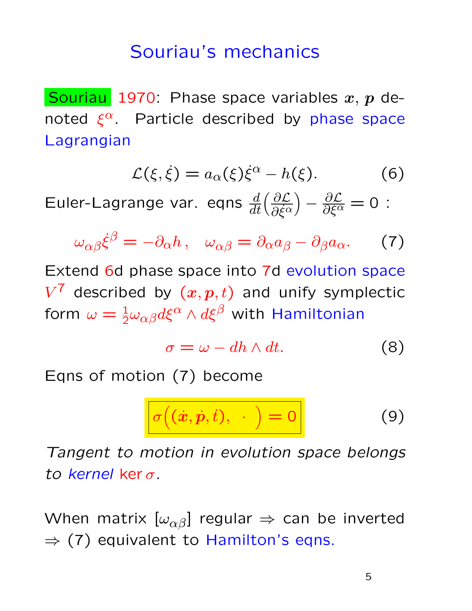#### Souriau's mechanics

Souriau 1970: Phase space variables  $x, p$  denoted  $\xi^{\alpha}$ . Particle described by phase space Lagrangian

$$
\mathcal{L}(\xi, \dot{\xi}) = a_{\alpha}(\xi)\dot{\xi}^{\alpha} - h(\xi). \tag{6}
$$

Euler-Lagrange var. eqns  $\frac{d}{dt} \left( \frac{\partial \mathcal{L}}{\partial \dot{\xi}^{\alpha}} \right)$  $\overline{\partial \dot{\xi}^\alpha}$  $\left(-\frac{\partial \mathcal{L}}{\partial \xi^{\alpha}}\right)=0$  :

$$
\omega_{\alpha\beta}\dot{\xi}^{\beta} = -\partial_{\alpha}h \,, \quad \omega_{\alpha\beta} = \partial_{\alpha}a_{\beta} - \partial_{\beta}a_{\alpha}.\tag{7}
$$

Extend 6d phase space into 7d evolution space  $V^7$  described by  $(x, p, t)$  and unify symplectic form  $\omega = \frac{1}{2} \omega_{\alpha \beta} d \xi^\alpha \wedge d \xi^\beta$  with Hamiltonian

$$
\sigma = \omega - dh \wedge dt. \tag{8}
$$

Eqns of motion (7) become

$$
\sigma((\dot{x}, \dot{p}, \dot{t}), \quad) = 0 \tag{9}
$$

Tangent to motion in evolution space belongs to kernel ker $\sigma$ .

When matrix  $[\omega_{\alpha\beta}]$  regular  $\Rightarrow$  can be inverted  $\Rightarrow$  (7) equivalent to Hamilton's eqns.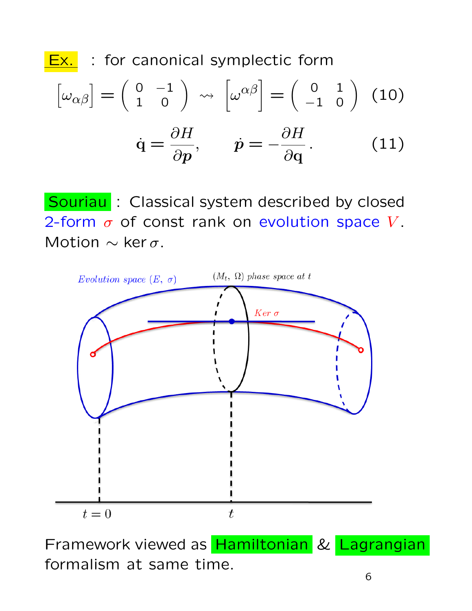

**Ex.** : for canonical symplectic form

$$
\begin{bmatrix} \omega_{\alpha\beta} \end{bmatrix} = \begin{pmatrix} 0 & -1 \\ 1 & 0 \end{pmatrix} \rightsquigarrow \begin{bmatrix} \omega^{\alpha\beta} \end{bmatrix} = \begin{pmatrix} 0 & 1 \\ -1 & 0 \end{pmatrix} \tag{10}
$$

$$
\dot{\mathbf{q}} = \frac{\partial H}{\partial \mathbf{p}}, \qquad \dot{\mathbf{p}} = -\frac{\partial H}{\partial \mathbf{q}}. \tag{11}
$$

Souriau : Classical system described by closed 2-form  $\sigma$  of const rank on evolution space V. Motion  $\sim$  ker  $\sigma$ .



Framework viewed as Hamiltonian & Lagrangian formalism at same time.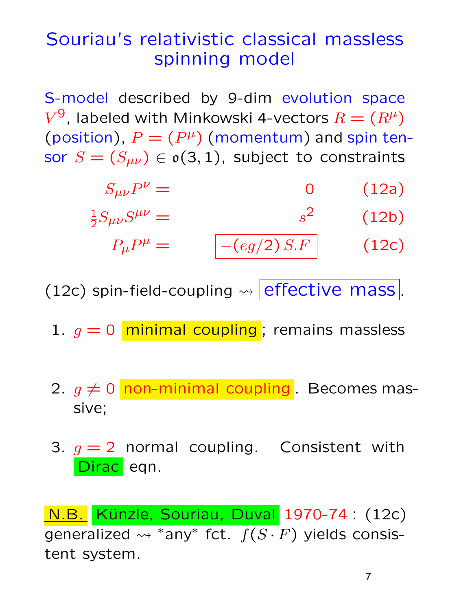## Souriau's relativistic classical massless spinning model

S-model described by 9-dim evolution space  $V^9$ , labeled with Minkowski 4-vectors  $R = (R^{\mu})$ (position),  $P = (P^{\mu})$  (momentum) and spin tensor  $S = (S_{\mu\nu}) \in o(3, 1)$ , subject to constraints

| $S_{\mu\nu}P^{\nu} =$              |                                 | (12a) |
|------------------------------------|---------------------------------|-------|
| $\frac{1}{2}S_{\mu\nu}S^{\mu\nu}=$ |                                 | (12b) |
| $P_{\mu}P^{\mu} =$                 | $\left  - (eg/2)\, S.F \right $ | (12c) |

(12c) spin-field-coupling  $\rightsquigarrow$  effective mass.

- 1.  $g = 0$  minimal coupling; remains massless
- 2.  $g \neq 0$  non-minimal coupling . Becomes massive;
- 3.  $g = 2$  normal coupling. Consistent with Dirac eqn.

N.B. Künzle, Souriau, Duval 1970-74 : (12c) generalized  $\rightsquigarrow$  \*any\* fct.  $f(S \cdot F)$  yields consistent system.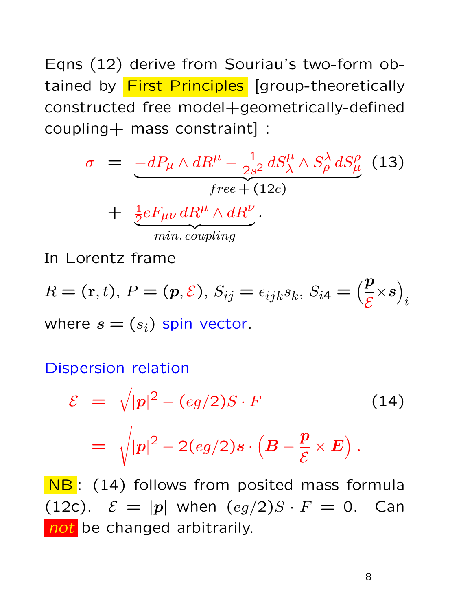Eqns (12) derive from Souriau's two-form obtained by First Principles [group-theoretically constructed free model+geometrically-defined coupling+ mass constraint] :

$$
\sigma = -dP_{\mu} \wedge dR^{\mu} - \frac{1}{2s^2} dS^{\mu}_{\lambda} \wedge S^{\lambda}_{\rho} dS^{\rho}_{\mu}
$$
(13)  
free + (12c)  
+ 
$$
\frac{1}{2} eF_{\mu\nu} dR^{\mu} \wedge dR^{\nu}.
$$
  
min. coupling

In Lorentz frame

$$
R = (\mathbf{r}, t), P = (\mathbf{p}, \mathcal{E}), S_{ij} = \epsilon_{ijk} s_k, S_{i4} = \left(\frac{\mathbf{p}}{\mathcal{E}} \times \mathbf{s}\right)_i
$$
  
where  $\mathbf{s} = (s_i)$  spin vector.

Dispersion relation

$$
\mathcal{E} = \sqrt{|p|^2 - (eg/2)S \cdot F}
$$
\n
$$
= \sqrt{|p|^2 - 2(eg/2)s \cdot (B - \frac{p}{\mathcal{E}} \times E)}.
$$
\n(14)

NB: (14) follows from posited mass formula (12c).  $\mathcal{E} = |p|$  when  $\left(\frac{eg}{2}S \cdot F = 0\right)$ . Can not be changed arbitrarily.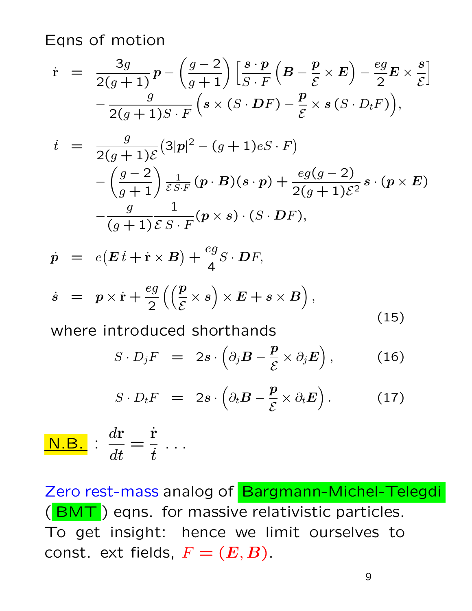Eqns of motion

$$
\dot{\mathbf{r}} = \frac{3g}{2(g+1)} \mathbf{p} - \left(\frac{g-2}{g+1}\right) \left[\frac{s \cdot \mathbf{p}}{S \cdot F} \left(\mathbf{B} - \frac{\mathbf{p}}{\mathbf{E}} \times \mathbf{E}\right) - \frac{eg}{2} \mathbf{E} \times \frac{s}{\mathbf{E}}\right] - \frac{g}{2(g+1)S \cdot F} \left(s \times (S \cdot \mathbf{D}F) - \frac{\mathbf{p}}{\mathbf{E}} \times s (S \cdot D_t F)\right),
$$

$$
\begin{array}{lll}\ni & = & \frac{g}{2(g+1)\mathcal{E}}(3|p|^2 - (g+1)eS \cdot F) \\
 & -\left(\frac{g-2}{g+1}\right) \frac{1}{\mathcal{E}S \cdot F} (p \cdot B)(s \cdot p) + \frac{eg(g-2)}{2(g+1)\mathcal{E}^2} s \cdot (p \times E) \\
 & -\frac{g}{(g+1)\mathcal{E}S \cdot F} (p \times s) \cdot (S \cdot DF),\n\end{array}
$$

$$
\dot{p} = e(E\dot{t} + \dot{r} \times B) + \frac{eg}{4}S \cdot DF,
$$
\n
$$
\dot{s} = p \times \dot{r} + \frac{eg}{2} \left( \left( \frac{p}{\mathcal{E}} \times s \right) \times E + s \times B \right),
$$
\n(15)

where introduced shorthands

$$
S \cdot D_j F = 2s \cdot \left( \partial_j B - \frac{p}{\mathcal{E}} \times \partial_j E \right), \quad (16)
$$

$$
S \cdot D_t F = 2s \cdot \left(\partial_t B - \frac{p}{\mathcal{E}} \times \partial_t E\right). \tag{17}
$$

$$
\boxed{\text{N.B.}} \, : \, \frac{d\textbf{r}}{dt} = \frac{\dot{\textbf{r}}}{\dot{t}} \, \dots
$$

Zero rest-mass analog of Bargmann-Michel-Telegdi (BMT) eqns. for massive relativistic particles. To get insight: hence we limit ourselves to const. ext fields,  $F = (E, B)$ .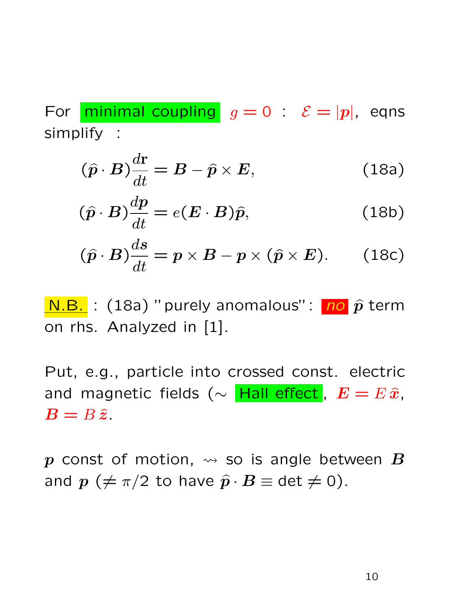For minimal coupling  $g = 0$  :  $\mathcal{E} = |p|$ , eqns simplify :

$$
(\hat{p} \cdot B) \frac{d\mathbf{r}}{dt} = B - \hat{p} \times E, \qquad (18a)
$$

$$
(\hat{p} \cdot B) \frac{dp}{dt} = e(E \cdot B)\hat{p}, \qquad (18b)
$$

$$
(\hat{p} \cdot B) \frac{ds}{dt} = p \times B - p \times (\hat{p} \times E). \qquad (18c)
$$

 $\underline{\hspace{1mm}N.B.}$  : (18a) "purely anomalous": no  $\hat{p}$  term on rhs. Analyzed in [1].

Put, e.g., particle into crossed const. electric and magnetic fields ( $\sim$  Hall effect,  $E = E \hat{x}$ ,  $B = B \hat{z}$ .

p const of motion,  $\leadsto$  so is angle between B and  $p$  ( $\neq \pi/2$  to have  $\widehat{p} \cdot B \equiv$  det  $\neq 0$ ).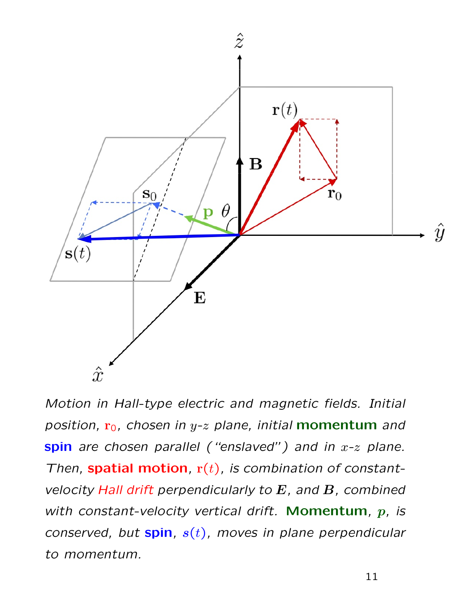

Motion in Hall-type electric and magnetic fields. Initial position,  $r_0$ , chosen in y-z plane, initial **momentum** and spin are chosen parallel ("enslaved") and in  $x-z$  plane. Then, spatial motion,  $r(t)$ , is combination of constantvelocity Hall drift perpendicularly to  $E$ , and  $B$ , combined with constant-velocity vertical drift. Momentum,  $p$ , is conserved, but spin,  $s(t)$ , moves in plane perpendicular to momentum.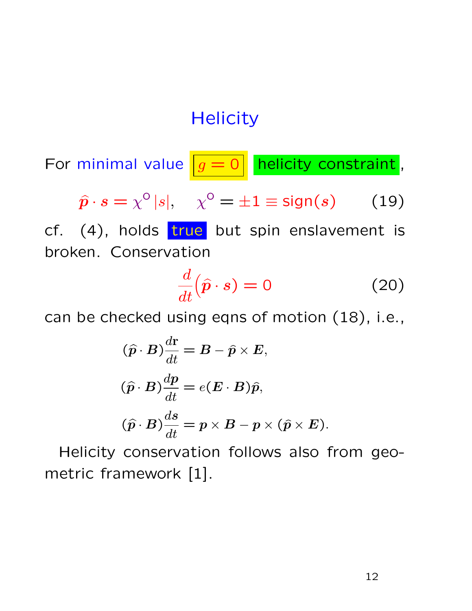#### **Helicity**

For minimal value  $\boxed{g = 0}$  helicity constraint,

$$
\hat{\boldsymbol{p}} \cdot \boldsymbol{s} = \chi^{\circ} |s|, \quad \chi^{\circ} = \pm 1 \equiv \text{sign}(\boldsymbol{s}) \qquad (19)
$$

cf.  $(4)$ , holds  $true$  but spin enslavement is broken. Conservation

$$
\frac{d}{dt}(\hat{\mathbf{p}} \cdot \mathbf{s}) = 0 \tag{20}
$$

can be checked using eqns of motion (18), i.e.,

$$
(\hat{p} \cdot B) \frac{d\mathbf{r}}{dt} = B - \hat{p} \times E,
$$
  
\n
$$
(\hat{p} \cdot B) \frac{dp}{dt} = e(E \cdot B)\hat{p},
$$
  
\n
$$
(\hat{p} \cdot B) \frac{ds}{dt} = p \times B - p \times (\hat{p} \times E).
$$

Helicity conservation follows also from geometric framework [1].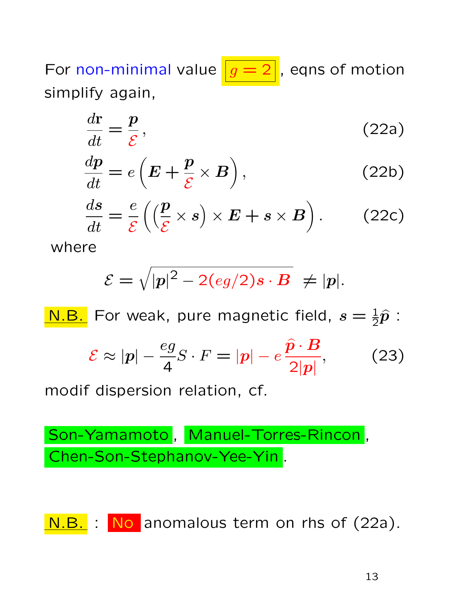For non-minimal value  $\boxed{g=2}$ , eqns of motion simplify again,

$$
\frac{d\mathbf{r}}{dt} = \frac{\mathbf{p}}{\mathcal{E}},\tag{22a}
$$

$$
\frac{dp}{dt} = e\left(E + \frac{p}{\mathcal{E}} \times B\right),\tag{22b}
$$

$$
\frac{ds}{dt} = \frac{e}{\mathcal{E}} \left( \left( \frac{\mathbf{p}}{\mathcal{E}} \times \mathbf{s} \right) \times \mathbf{E} + \mathbf{s} \times \mathbf{B} \right). \tag{22c}
$$

where

$$
\mathcal{E}=\sqrt{|p|^2-2(\mathit{eg}/2)\mathit{s}\cdot\mathit{\mathbf{B}}}\;\neq|p|.
$$

<mark>N.B.</mark> For weak, pure magnetic field,  $s = \frac{1}{2}\hat{p}$ :  $\mathcal{E} \approx |\boldsymbol{p}| - \frac{eg}{\epsilon}$ 4  $S \cdot F = |\boldsymbol{p}| - e \frac{\widehat{\boldsymbol{p}} \cdot \boldsymbol{B}}{2^{1/3}}$  $2|p|$  $(23)$ modif dispersion relation, cf.

Son-Yamamoto , Manuel-Torres-Rincon , Chen-Son-Stephanov-Yee-Yin .

N.B. : No anomalous term on rhs of (22a).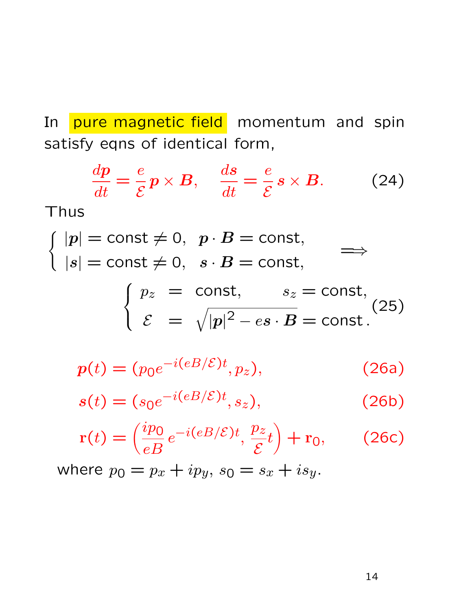In pure magnetic field momentum and spin satisfy eqns of identical form,

$$
\frac{dp}{dt} = \frac{e}{\mathcal{E}} p \times B, \quad \frac{ds}{dt} = \frac{e}{\mathcal{E}} s \times B. \quad (24)
$$

Thus

$$
\begin{cases} |p| = \text{const} \neq 0, & p \cdot B = \text{const}, \\ |s| = \text{const} \neq 0, & s \cdot B = \text{const}, \end{cases} \implies
$$

$$
\begin{cases}\np_z = \text{const}, & s_z = \text{const}, \\
\mathcal{E} = \sqrt{|p|^2 - es \cdot B} = \text{const.}\n\end{cases}
$$
\n(25)

$$
p(t) = (p_0 e^{-i(eB/\mathcal{E})t}, p_z), \qquad (26a)
$$

$$
s(t) = (s_0 e^{-i(eB/\mathcal{E})t}, s_z), \qquad (26b)
$$

$$
\mathbf{r}(t) = \left(\frac{ip_0}{eB}e^{-i(eB/\mathcal{E})t}, \frac{p_z}{\mathcal{E}}t\right) + \mathbf{r}_0,\qquad(26c)
$$

where  $p_0 = p_x + ip_y$ ,  $s_0 = s_x + is_y$ .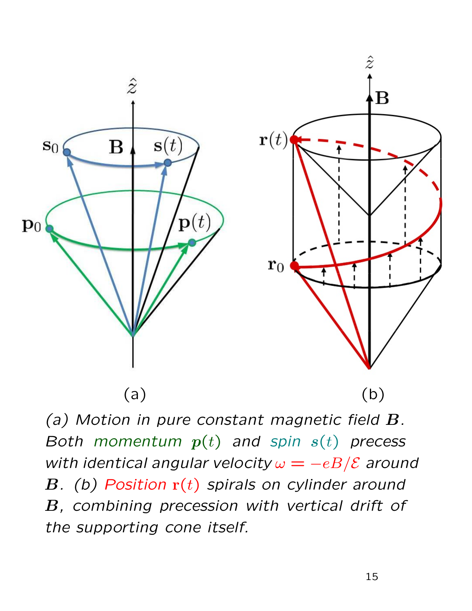

(a) Motion in pure constant magnetic field B. Both momentum  $p(t)$  and spin  $s(t)$  precess with identical angular velocity  $\omega = -eB/\mathcal{E}$  around B. (b) Position  $r(t)$  spirals on cylinder around B, combining precession with vertical drift of the supporting cone itself.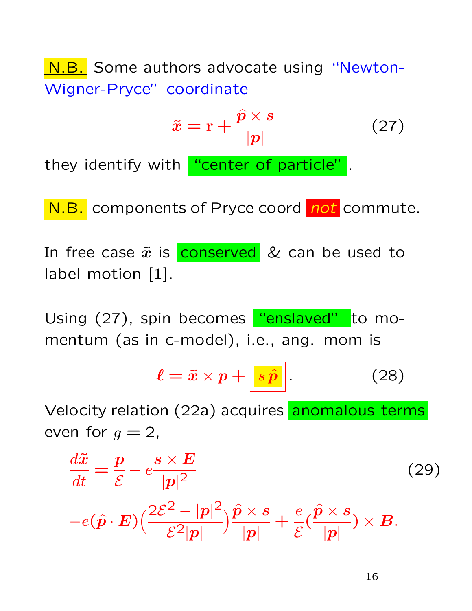N.B. Some authors advocate using "Newton-Wigner-Pryce" coordinate

$$
\tilde{x} = \mathbf{r} + \frac{\hat{p} \times s}{|p|} \tag{27}
$$

they identify with "center of particle".

N.B. components of Pryce coord not commute.

In free case  $\tilde{x}$  is conserved & can be used to label motion [1].

Using (27), spin becomes "enslaved" to momentum (as in c-model), i.e., ang. mom is

$$
\ell = \tilde{x} \times p + \boxed{s \hat{p}}.
$$
 (28)

Velocity relation (22a) acquires anomalous terms even for  $q=2$ ,

$$
\frac{d\tilde{x}}{dt} = \frac{p}{\mathcal{E}} - e \frac{s \times E}{|p|^2} \tag{29}
$$
\n
$$
-e(\hat{p} \cdot E) \Big( \frac{2\mathcal{E}^2 - |p|^2}{\mathcal{E}^2 |p|} \Big) \frac{\hat{p} \times s}{|p|} + \frac{e}{\mathcal{E}} \Big( \frac{\hat{p} \times s}{|p|} \Big) \times B.
$$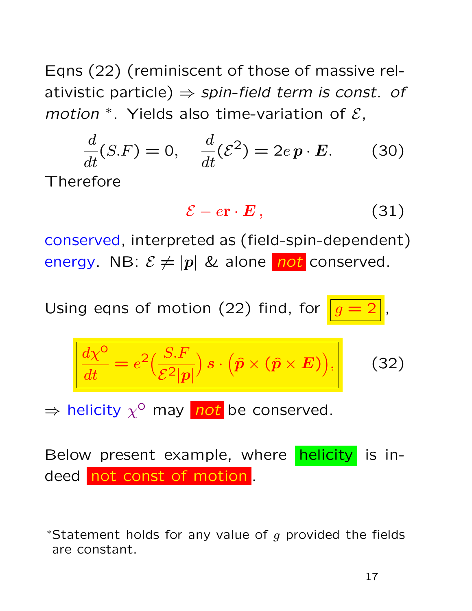Eqns (22) (reminiscent of those of massive relativistic particle)  $\Rightarrow$  spin-field term is const. of motion  $*$ . Yields also time-variation of  $\mathcal{E}$ ,

$$
\frac{d}{dt}(S.F) = 0, \quad \frac{d}{dt}(\mathcal{E}^2) = 2e\,\boldsymbol{p} \cdot \boldsymbol{E}.\tag{30}
$$

Therefore

$$
\mathcal{E} - e\mathbf{r} \cdot \mathbf{E} \,, \tag{31}
$$

conserved, interpreted as (field-spin-dependent) energy. NB:  $\mathcal{E} \neq |p|$  & alone not conserved.

Using eqns of motion  $(22)$  find, for

$$
\frac{d\chi^{\circ}}{dt} = e^2 \left(\frac{S.F}{\mathcal{E}^2|\mathbf{p}|}\right) s \cdot \left(\hat{\mathbf{p}} \times \left(\hat{\mathbf{p}} \times \mathbf{E}\right)\right),\tag{32}
$$

 $\Rightarrow$  helicity  $\chi^0$  may not be conserved.

Below present example, where **helicity** is indeed not const of motion .

\*Statement holds for any value of  $q$  provided the fields are constant.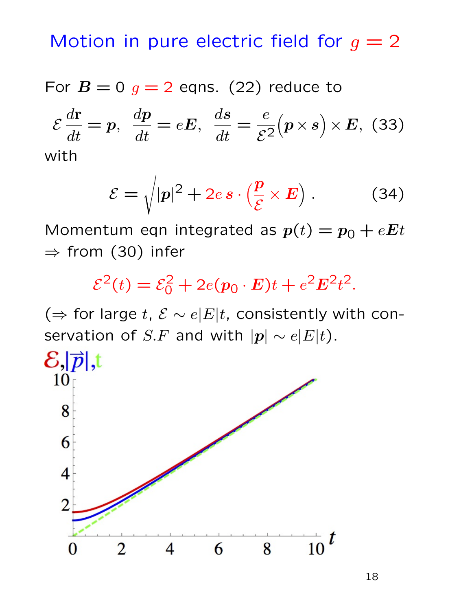Motion in pure electric field for  $g = 2$ 

For  $B = 0$   $g = 2$  eqns. (22) reduce to

$$
\mathcal{E}\frac{d\mathbf{r}}{dt} = \mathbf{p}, \ \frac{d\mathbf{p}}{dt} = e\mathbf{E}, \ \frac{d\mathbf{s}}{dt} = \frac{e}{\mathcal{E}^2}(\mathbf{p} \times \mathbf{s}) \times \mathbf{E}, \ (33)
$$
\nwith

$$
\mathcal{E} = \sqrt{|\mathbf{p}|^2 + 2e \,\mathbf{s} \cdot \left(\frac{\mathbf{p}}{\mathcal{E}} \times \mathbf{E}\right)}\,. \tag{34}
$$

Momentum eqn integrated as  $p(t) = p_0 + eEt$  $\Rightarrow$  from (30) infer

$$
\mathcal{E}^2(t) = \mathcal{E}_0^2 + 2e(p_0 \cdot \mathbf{E})t + e^2 \mathbf{E}^2 t^2.
$$

( $\Rightarrow$  for large t,  $\mathcal{E} \sim e|E|t$ , consistently with conservation of S.F and with  $|p| \sim e|E|t$ ).

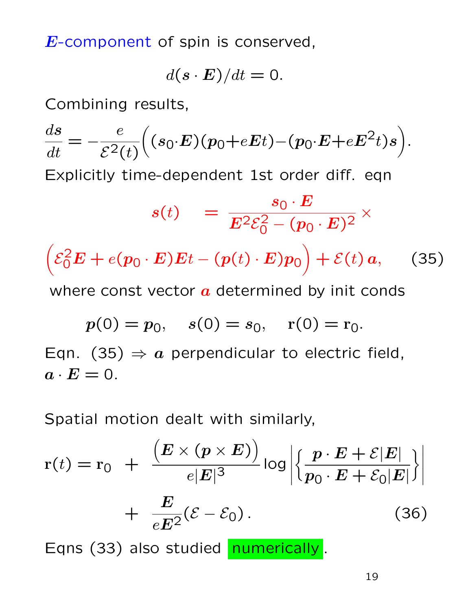E-component of spin is conserved,

$$
d(\mathbf{s} \cdot \mathbf{E})/dt = 0.
$$

Combining results,

$$
\frac{ds}{dt} = -\frac{e}{\mathcal{E}^2(t)} \Big( (s_0 \cdot E)(p_0 + eEt) - (p_0 \cdot E + eE^2t)s \Big).
$$
  
Explicitly time-dependent 1st order diff. eqn  

$$
s(t) = \frac{s_0 \cdot E}{E^2 \mathcal{E}_0^2 - (p_0 \cdot E)^2} \times
$$

$$
\Big( \mathcal{E}_0^2 E + e(p_0 \cdot E)Et - (p(t) \cdot E)p_0 \Big) + \mathcal{E}(t) a,
$$
 (35)  
where const vector *a* determined by init const  

$$
p(0) = p_0, \quad s(0) = s_0, \quad r(0) = r_0.
$$

Eqn. (35)  $\Rightarrow$  a perpendicular to electric field,  $a \cdot E = 0$ .

Spatial motion dealt with similarly,

$$
r(t) = r_0 + \frac{\left(E \times (p \times E)\right)}{e|E|^3} \log \left| \left\{ \frac{p \cdot E + \mathcal{E}|E|}{p_0 \cdot E + \mathcal{E}_0|E|} \right\} \right|
$$
  
+ 
$$
\frac{E}{eE^2} (\mathcal{E} - \mathcal{E}_0).
$$
 (36)

Eqns (33) also studied numerically.

19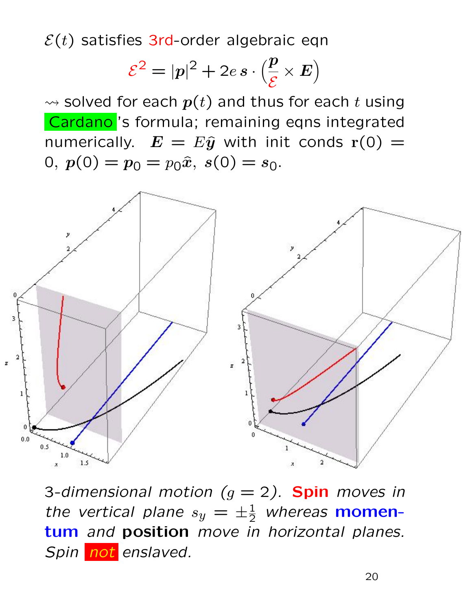$\mathcal{E}(t)$  satisfies 3rd-order algebraic eqn

$$
\mathcal{E}^2 = |p|^2 + 2e s \cdot \left(\frac{p}{\mathcal{E}} \times E\right)
$$

 $\rightsquigarrow$  solved for each  $p(t)$  and thus for each t using Cardano 's formula; remaining eqns integrated numerically.  $E = E\hat{y}$  with init conds  $r(0) =$ 0,  $p(0) = p_0 = p_0 \hat{x}$ ,  $s(0) = s_0$ .



3-dimensional motion  $(g = 2)$ . Spin moves in the vertical plane  $s_y = \pm \frac{1}{2}$  whereas **momen**tum and position move in horizontal planes. Spin not enslaved.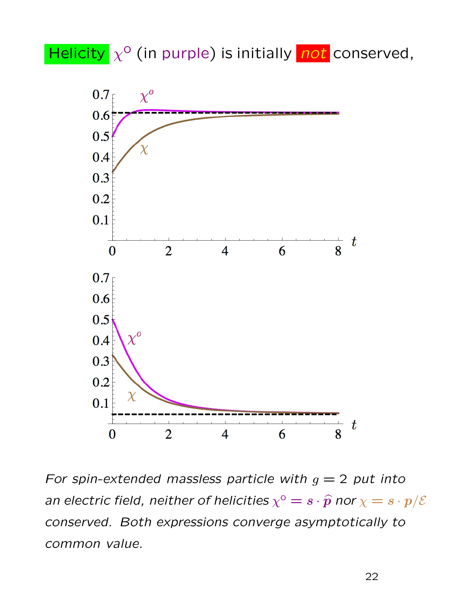Helicity  $\chi^0$  (in purple) is initially not conserved,



For spin-extended massless particle with  $g = 2$  put into an electric field, neither of helicities  $\chi^{\rm o}=s\cdot\widehat{\bm p}$  nor  $\chi=s\cdot{\bm p}/{\cal E}$ conserved. Both expressions converge asymptotically to common value.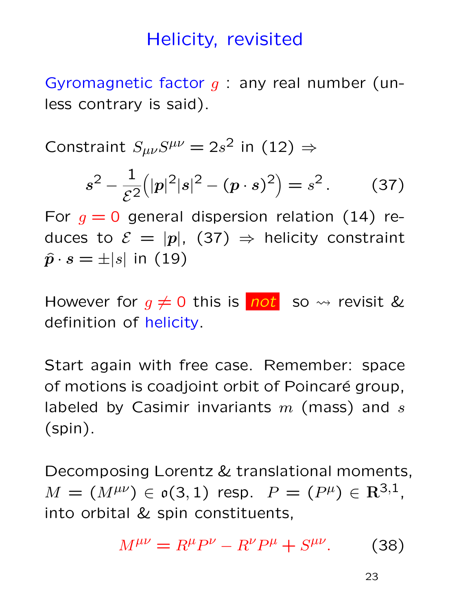#### Helicity, revisited

Gyromagnetic factor  $q$  : any real number (unless contrary is said).

Constraint  $S_{\mu\nu}S^{\mu\nu}=2s^2$  in (12)  $\Rightarrow$ 

$$
s^{2} - \frac{1}{\mathcal{E}^{2}}(|p|^{2}|s|^{2} - (p \cdot s)^{2}) = s^{2}. \qquad (37)
$$

For  $q = 0$  general dispersion relation (14) reduces to  $\mathcal{E} = |p|$ , (37)  $\Rightarrow$  helicity constraint  $\hat{\boldsymbol{p}}\cdot\boldsymbol{s}=\pm|\boldsymbol{s}|$  in (19)

However for  $g \neq 0$  this is not so  $\rightsquigarrow$  revisit & definition of helicity.

Start again with free case. Remember: space of motions is coadjoint orbit of Poincaré group, labeled by Casimir invariants  $m$  (mass) and  $s$ (spin).

Decomposing Lorentz & translational moments,  $M = (M^{\mu\nu}) \in \mathfrak{o}(3,1)$  resp.  $P = (P^{\mu}) \in \mathbf{R}^{3,1}$ , into orbital & spin constituents,

$$
M^{\mu\nu} = R^{\mu}P^{\nu} - R^{\nu}P^{\mu} + S^{\mu\nu}.
$$
 (38)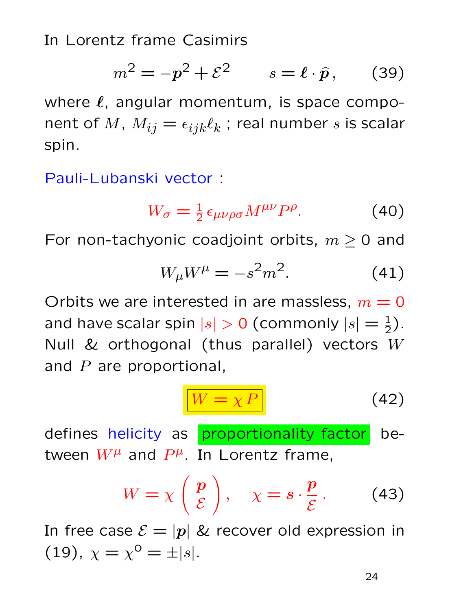In Lorentz frame Casimirs

$$
m^2 = -p^2 + \mathcal{E}^2 \qquad s = \ell \cdot \hat{p}, \qquad (39)
$$

where  $\ell$ , angular momentum, is space component of  $M$ ,  $M_{ij} = \epsilon_{ijk} \ell_k$  ; real number  $s$  is scalar spin.

Pauli-Lubanski vector :

$$
W_{\sigma} = \frac{1}{2} \epsilon_{\mu\nu\rho\sigma} M^{\mu\nu} P^{\rho}.
$$
 (40)

For non-tachyonic coadjoint orbits,  $m \geq 0$  and

$$
W_{\mu}W^{\mu} = -s^2m^2.
$$
 (41)

Orbits we are interested in are massless,  $m = 0$ and have scalar spin  $|s| > 0$  (commonly  $|s| = \frac{1}{2}$ ). Null  $&$  orthogonal (thus parallel) vectors  $W$ and  $P$  are proportional,

$$
W = \chi P \tag{42}
$$

defines helicity as proportionality factor between  $W^{\mu}$  and  $P^{\mu}$ . In Lorentz frame,

$$
W = \chi \left( \begin{array}{c} p \\ \mathcal{E} \end{array} \right), \quad \chi = s \cdot \frac{p}{\mathcal{E}} \,. \tag{43}
$$

In free case  $\mathcal{E} = |p|$  & recover old expression in (19),  $\chi = \chi^{\circ} = \pm |s|$ .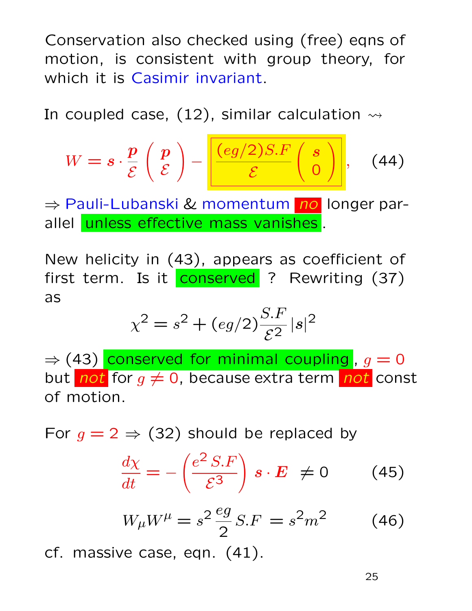Conservation also checked using (free) eqns of motion, is consistent with group theory, for which it is Casimir invariant.

In coupled case,  $(12)$ , similar calculation  $\rightsquigarrow$ 

$$
W = s \cdot \frac{p}{\mathcal{E}} \left( \frac{p}{\mathcal{E}} \right) - \frac{\left( eg/2 \right) S.F}{\mathcal{E}} \left( \frac{s}{0} \right), \quad (44)
$$

⇒ Pauli-Lubanski & momentum no longer parallel unless effective mass vanishes.

New helicity in (43), appears as coefficient of first term. Is it conserved ? Rewriting (37) as

$$
\chi^2 = s^2 + (eg/2)\frac{S.F}{\mathcal{E}^2} |s|^2
$$

 $\Rightarrow$  (43) conserved for minimal coupling,  $g = 0$ but not for  $g \neq 0$ , because extra term not const of motion.

For  $g = 2 \Rightarrow (32)$  should be replaced by

$$
\frac{d\chi}{dt} = -\left(\frac{e^2 S.F}{\mathcal{E}^3}\right) s \cdot E \neq 0 \tag{45}
$$

$$
W_{\mu}W^{\mu} = s^2 \frac{eg}{2} S.F = s^2 m^2
$$
 (46)

cf. massive case, eqn. (41).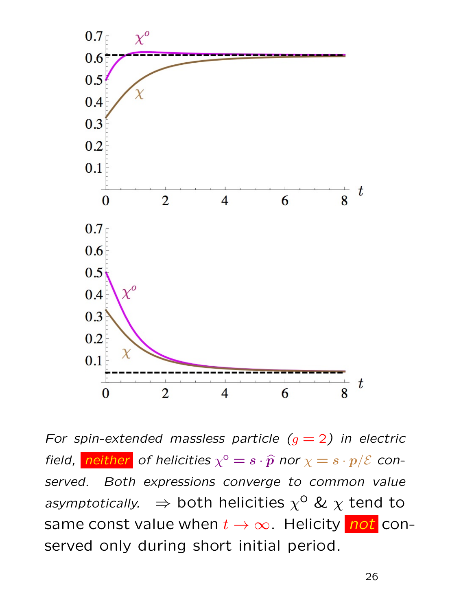

For spin-extended massless particle  $(g = 2)$  in electric field, <mark>neither</mark> of helicities  $\chi^{\circ} = s \cdot \widehat{p}$  nor  $\chi = s \cdot p/\mathcal{E}$  conserved. Both expressions converge to common value asymptotically.  $\Rightarrow$  both helicities  $\chi^{\mathsf{O}}$  &  $\chi$  tend to same const value when  $t \to \infty$ . Helicity not conserved only during short initial period.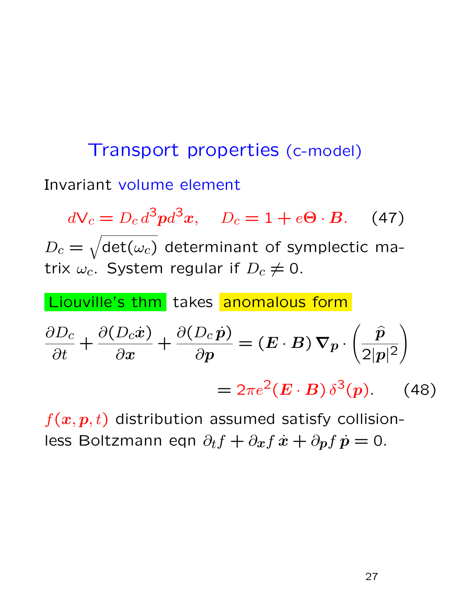# Transport properties (c-model) Invariant volume element

 $dV_c = D_c d^3 p d^3 x$ ,  $D_c = 1 + e\Theta \cdot B$ . (47)  $D_c = \sqrt{\det(\omega_c)}$  determinant of symplectic matrix  $\omega_c$ . System regular if  $D_c \neq 0$ .

Liouville's thm takes anomalous form

$$
\frac{\partial D_c}{\partial t} + \frac{\partial (D_c \dot{x})}{\partial x} + \frac{\partial (D_c \dot{p})}{\partial p} = (E \cdot B) \nabla p \cdot \left(\frac{\hat{p}}{2|p|^2}\right)
$$

$$
= 2\pi e^2 (E \cdot B) \delta^3(p). \quad (48)
$$

 $f(x, p, t)$  distribution assumed satisfy collisionless Boltzmann eqn  $\partial_t f + \partial_x f \dot{x} + \partial_p f \dot{p} = 0.$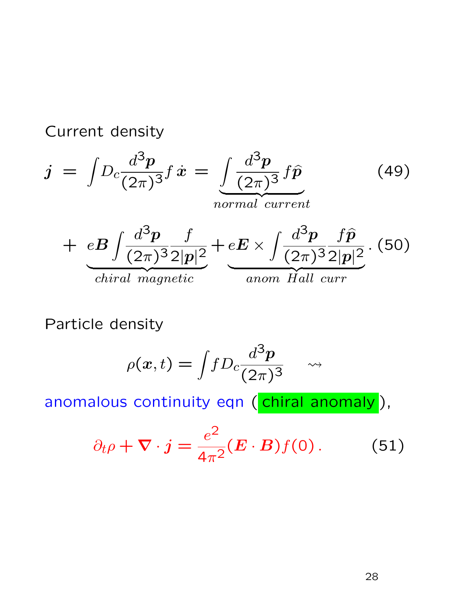Current density

$$
j = \int D_c \frac{d^3 p}{(2\pi)^3} f \dot{x} = \underbrace{\int \frac{d^3 p}{(2\pi)^3} f \hat{p}}_{normal current}
$$
\n
$$
+ eB \int \frac{d^3 p}{(2\pi)^3 2|p|^2} f \underbrace{eE \times \int \frac{d^3 p}{(2\pi)^3 2|p|^2}}_{channel current}
$$
\n
$$
(50)
$$
\n
$$
j = 50
$$

Particle density

$$
\rho(x,t) = \int f D_c \frac{d^3 p}{(2\pi)^3} \quad \rightsquigarrow
$$

anomalous continuity eqn (chiral anomaly),

$$
\partial_t \rho + \nabla \cdot j = \frac{e^2}{4\pi^2} (E \cdot B) f(0). \tag{51}
$$